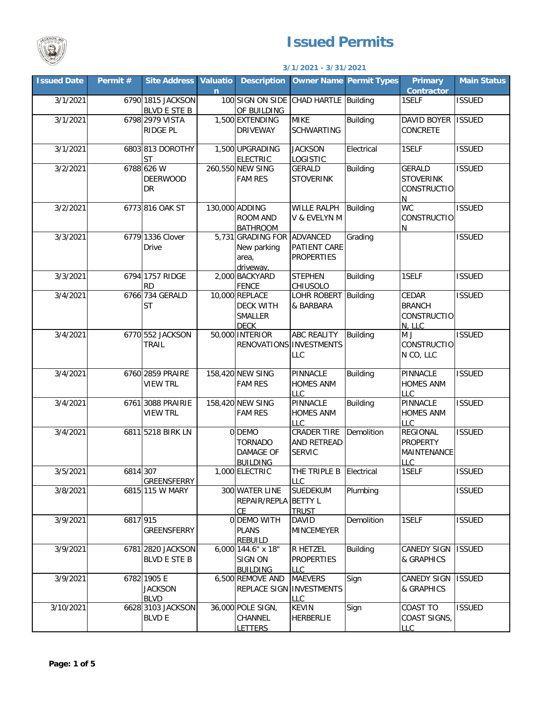

## **Issued Permits**

## **3/1/2021 - 3/31/2021**

| <b>Issued Date</b> | Permit # | <b>Site Address</b>                          | <b>Valuatio</b><br>$\mathbf n$ | <b>Description</b>                                                  |                                                    | <b>Owner Name Permit Types</b> | <b>Primary</b><br><b>Contractor</b>                             | <b>Main Status</b> |
|--------------------|----------|----------------------------------------------|--------------------------------|---------------------------------------------------------------------|----------------------------------------------------|--------------------------------|-----------------------------------------------------------------|--------------------|
| 3/1/2021           |          | 6790 1815 JACKSON<br><b>BLVD E STE B</b>     |                                | 100 SIGN ON SIDE CHAD HARTLE Building<br>OF BUILDING                |                                                    |                                | 1SELF                                                           | <b>ISSUED</b>      |
| 3/1/2021           |          | 6798 2979 VISTA<br><b>RIDGE PL</b>           |                                | 1,500 EXTENDING<br><b>DRIVEWAY</b>                                  | <b>MIKE</b><br><b>SCHWARTING</b>                   | <b>Building</b>                | DAVID BOYER ISSUED<br>CONCRETE                                  |                    |
| 3/1/2021           |          | 6803 813 DOROTHY<br><b>ST</b>                |                                | 1,500 UPGRADING<br><b>ELECTRIC</b>                                  | <b>JACKSON</b><br>LOGISTIC                         | Electrical                     | 1SELF                                                           | <b>ISSUED</b>      |
| 3/2/2021           |          | 6788 626 W<br><b>DEERWOOD</b><br>DR          |                                | 260,550 NEW SING<br><b>FAM RES</b>                                  | GERALD<br><b>STOVERINK</b>                         | <b>Building</b>                | GERALD<br><b>STOVERINK</b><br>CONSTRUCTIO<br>N                  | <b>ISSUED</b>      |
| 3/2/2021           |          | 6773 816 OAK ST                              |                                | 130,000 ADDING<br>ROOM AND<br><b>BATHROOM</b>                       | WILLE RALPH Building<br>V & EVELYN M               |                                | <b>WC</b><br><b>CONSTRUCTIO</b><br>N                            | <b>ISSUED</b>      |
| 3/3/2021           |          | 6779 1336 Clover<br><b>Drive</b>             |                                | 5,731 GRADING FOR ADVANCED<br>New parking<br>area,<br>driveway,     | <b>PATIENT CARE</b><br><b>PROPERTIES</b>           | Grading                        |                                                                 | <b>ISSUED</b>      |
| 3/3/2021           |          | 6794 1757 RIDGE<br><b>RD</b>                 |                                | 2,000 BACKYARD<br><b>FENCE</b>                                      | <b>STEPHEN</b><br>CHIUSOLO                         | Building                       | 1SELF                                                           | <b>ISSUED</b>      |
| 3/4/2021           |          | 6766 734 GERALD<br><b>ST</b>                 |                                | 10,000 REPLACE<br><b>DECK WITH</b><br><b>SMALLER</b><br><b>DECK</b> | LOHR ROBERT Building<br>& BARBARA                  |                                | CEDAR<br><b>BRANCH</b><br><b>CONSTRUCTIO</b><br>N. LLC          | <b>ISSUED</b>      |
| 3/4/2021           |          | 6770 552 JACKSON<br><b>TRAIL</b>             |                                | 50,000 INTERIOR<br>RENOVATIONS INVESTMENTS                          | <b>ABC REALITY</b><br>LLC                          | <b>Building</b>                | M J<br><b>CONSTRUCTIO</b><br>N CO, LLC                          | <b>ISSUED</b>      |
| 3/4/2021           |          | 6760 2859 PRAIRE<br><b>VIEW TRL</b>          |                                | 158,420 NEW SING<br><b>FAM RES</b>                                  | PINNACLE<br><b>HOMES ANM</b><br>LLC                | Building                       | PINNACLE<br><b>HOMES ANM</b><br><b>LLC</b>                      | <b>ISSUED</b>      |
| 3/4/2021           |          | 6761 3088 PRAIRIE<br><b>VIEW TRL</b>         |                                | 158,420 NEW SING<br><b>FAM RES</b>                                  | PINNACLE<br><b>HOMES ANM</b><br><b>LLC</b>         | Building                       | PINNACLE<br><b>HOMES ANM</b><br><b>LLC</b>                      | <b>ISSUED</b>      |
| 3/4/2021           |          | 6811 5218 BIRK LN                            |                                | 0 DEMO<br><b>TORNADO</b><br><b>DAMAGE OF</b><br><b>BUILDING</b>     | CRADER TIRE<br><b>AND RETREAD</b><br><b>SERVIC</b> | Demolition                     | <b>REGIONAL</b><br><b>PROPERTY</b><br>MAINTENANCE<br><u>LLC</u> | <b>ISSUED</b>      |
| 3/5/2021           | 6814 307 | <b>GREENSFERRY</b>                           |                                | 1,000 ELECTRIC                                                      | THE TRIPLE B Electrical<br>LLC                     |                                | 1SELF                                                           | <b>ISSUED</b>      |
| 3/8/2021           |          | 6815 115 W MARY                              |                                | 300 WATER LINE<br>REPAIR/REPLA BETTY L<br><b>CE</b>                 | SUEDEKUM<br><b>TRUST</b>                           | Plumbing                       |                                                                 | <b>ISSUED</b>      |
| 3/9/2021           | 6817 915 | GREENSFERRY                                  |                                | 0 DEMO WITH<br><b>PLANS</b><br><b>REBUILD</b>                       | DAVID<br><b>MINCEMEYER</b>                         | Demolition                     | 1SELF                                                           | <b>ISSUED</b>      |
| 3/9/2021           |          | 6781 2820 JACKSON<br><b>BLVD E STE B</b>     |                                | 6,000 144.6" x 18"<br><b>SIGN ON</b><br><b>BUILDING</b>             | R HETZEL<br><b>PROPERTIES</b><br><b>LLC</b>        | <b>Building</b>                | CANEDY SIGN<br>& GRAPHICS                                       | <b>ISSUED</b>      |
| 3/9/2021           |          | 6782 1905 E<br><b>JACKSON</b><br><b>BLVD</b> |                                | 6,500 REMOVE AND<br>REPLACE SIGN INVESTMENTS                        | <b>MAEVERS</b><br>LLC                              | Sign                           | CANEDY SIGN<br>& GRAPHICS                                       | <b>ISSUED</b>      |
| 3/10/2021          |          | 6628 3103 JACKSON<br><b>BLVD E</b>           |                                | 36,000 POLE SIGN,<br><b>CHANNEL</b><br><b>LETTERS</b>               | <b>KEVIN</b><br><b>HERBERLIE</b>                   | Sign                           | COAST TO<br>COAST SIGNS,<br><b>LLC</b>                          | <b>ISSUED</b>      |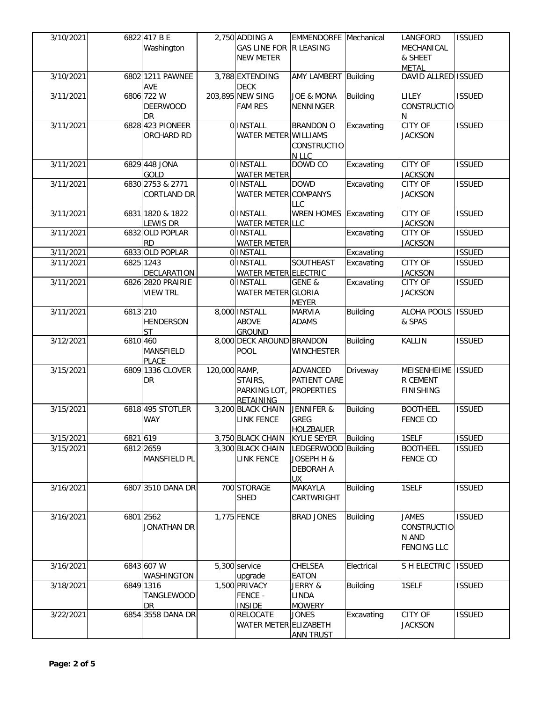| 3/10/2021 |          | 6822 417 B E<br>Washington     |               | 2,750 ADDING A<br><b>GAS LINE FOR</b>           | <b>EMMENDORFE</b> Mechanical<br><b>R LEASING</b> |                 | LANGFORD<br>MECHANICAL           | <b>ISSUED</b> |
|-----------|----------|--------------------------------|---------------|-------------------------------------------------|--------------------------------------------------|-----------------|----------------------------------|---------------|
|           |          |                                |               | <b>NEW METER</b>                                |                                                  |                 | & SHEET<br><b>METAL</b>          |               |
| 3/10/2021 |          | 6802 1211 PAWNEE<br><b>AVE</b> |               | 3,788 EXTENDING<br><b>DECK</b>                  | AMY LAMBERT Building                             |                 | DAVID ALLRED ISSUED              |               |
| 3/11/2021 |          | 6806 722 W                     |               | 203,895 NEW SING                                | JOE & MONA                                       | <b>Building</b> | LILEY                            | <b>ISSUED</b> |
|           |          | <b>DEERWOOD</b><br>DR          |               | <b>FAM RES</b>                                  | <b>NENNINGER</b>                                 |                 | CONSTRUCTIO<br>N                 |               |
| 3/11/2021 |          | 6828 423 PIONEER               |               | 0 <b>INSTALL</b>                                | <b>BRANDON O</b>                                 | Excavating      | <b>CITY OF</b>                   | <b>ISSUED</b> |
|           |          | ORCHARD RD                     |               | WATER METER WILLIAMS                            | <b>CONSTRUCTIO</b>                               |                 | <b>JACKSON</b>                   |               |
|           |          |                                |               |                                                 | N LLC                                            |                 |                                  |               |
| 3/11/2021 |          | 6829 448 JONA<br>GOLD          |               | 0 INSTALL<br><b>WATER METER</b>                 | DOWD CO                                          | Excavating      | <b>CITY OF</b><br><b>JACKSON</b> | <b>ISSUED</b> |
| 3/11/2021 |          | 6830 2753 & 2771               |               | 0 INSTALL                                       | <b>DOWD</b>                                      | Excavating      | CITY OF                          | <b>ISSUED</b> |
|           |          | CORTLAND DR                    |               | WATER METER COMPANYS                            | <b>LLC</b>                                       |                 | <b>JACKSON</b>                   |               |
| 3/11/2021 |          | 6831 1820 & 1822               |               | 0 INSTALL                                       | <b>WREN HOMES</b>                                | Excavating      | <b>CITY OF</b>                   | <b>ISSUED</b> |
| 3/11/2021 |          | LEWIS DR<br>6832 OLD POPLAR    |               | <b>WATER METER LLC</b><br>0 INSTALL             |                                                  | Excavating      | <b>JACKSON</b><br>CITY OF        | <b>ISSUED</b> |
|           |          | <b>RD</b>                      |               | <b>WATER METER</b>                              |                                                  |                 | <b>JACKSON</b>                   |               |
| 3/11/2021 |          | 6833 OLD POPLAR                |               | 0 INSTALL                                       |                                                  | Excavating      |                                  | <b>ISSUED</b> |
| 3/11/2021 |          | 6825 1243<br>DECLARATION       |               | <b>OIINSTALL</b><br><b>WATER METER ELECTRIC</b> | SOUTHEAST                                        | Excavating      | <b>CITY OF</b><br><b>JACKSON</b> | <b>ISSUED</b> |
| 3/11/2021 |          | 6826 2820 PRAIRIE              |               | 0 INSTALL                                       | GENE &                                           | Excavating      | CITY OF                          | <b>ISSUED</b> |
|           |          | <b>VIEW TRL</b>                |               | WATER METER GLORIA                              |                                                  |                 | <b>JACKSON</b>                   |               |
| 3/11/2021 | 6813 210 |                                |               | 8,000 INSTALL                                   | <b>MEYER</b><br><b>MARVIA</b>                    | <b>Building</b> | ALOHA POOLS ISSUED               |               |
|           |          | <b>HENDERSON</b>               |               | <b>ABOVE</b>                                    | <b>ADAMS</b>                                     |                 | & SPAS                           |               |
|           |          | <b>ST</b>                      |               | GROUND                                          |                                                  |                 |                                  |               |
| 3/12/2021 | 6810 460 | MANSFIELD<br><b>PLACE</b>      |               | 8,000 DECK AROUND BRANDON<br><b>POOL</b>        | WINCHESTER                                       | <b>Building</b> | KALLIN                           | <b>ISSUED</b> |
| 3/15/2021 |          | 6809 1336 CLOVER               | 120,000 RAMP, |                                                 | ADVANCED                                         | Driveway        | MEISENHEIME                      | <b>ISSUED</b> |
|           |          | DR                             |               | STAIRS,<br>PARKING LOT,                         | PATIENT CARE<br><b>PROPERTIES</b>                |                 | R CEMENT<br><b>FINISHING</b>     |               |
|           |          |                                |               | RETAINING                                       |                                                  |                 |                                  |               |
| 3/15/2021 |          | 6818 495 STOTLER               |               | 3,200 BLACK CHAIN                               | <b>JENNIFER &amp;</b>                            | <b>Building</b> | <b>BOOTHEEL</b>                  | <b>ISSUED</b> |
|           |          | <b>WAY</b>                     |               | <b>LINK FENCE</b>                               | GREG                                             |                 | <b>FENCE CO</b>                  |               |
| 3/15/2021 | 6821 619 |                                |               | 3,750 BLACK CHAIN                               | <b>HOLZBAUER</b><br><b>KYLIE SEYER</b>           | Building        | 1SELF                            | <b>ISSUED</b> |
| 3/15/2021 |          | 6812 2659                      |               | 3,300 BLACK CHAIN                               | LEDGERWOOD                                       | Building        | <b>BOOTHEEL</b>                  | <b>ISSUED</b> |
|           |          | MANSFIELD PL                   |               | <b>LINK FENCE</b>                               | JOSEPH H &                                       |                 | <b>FENCE CO</b>                  |               |
|           |          |                                |               |                                                 | DEBORAH A<br>UX.                                 |                 |                                  |               |
| 3/16/2021 |          | 6807 3510 DANA DR              |               | 700 STORAGE                                     | MAKAYLA                                          | <b>Building</b> | 1SELF                            | <b>ISSUED</b> |
|           |          |                                |               | <b>SHED</b>                                     | CARTWRIGHT                                       |                 |                                  |               |
| 3/16/2021 |          | 6801 2562                      |               | 1,775 FENCE                                     | <b>BRAD JONES</b>                                | Building        | <b>JAMES</b>                     | <b>ISSUED</b> |
|           |          | <b>JONATHAN DR</b>             |               |                                                 |                                                  |                 | CONSTRUCTIO                      |               |
|           |          |                                |               |                                                 |                                                  |                 | N AND<br><b>FENCING LLC</b>      |               |
|           |          |                                |               |                                                 |                                                  |                 |                                  |               |
| 3/16/2021 |          | 6843 607 W                     |               | 5,300 service                                   | CHELSEA                                          | Electrical      | S H ELECTRIC                     | <b>ISSUED</b> |
| 3/18/2021 |          | WASHINGTON<br>6849 1316        |               | upgrade<br>1,500 PRIVACY                        | EATON<br>JERRY &                                 | <b>Building</b> | 1SELF                            | <b>ISSUED</b> |
|           |          | TANGLEWOOD                     |               | <b>FENCE -</b>                                  | LINDA                                            |                 |                                  |               |
|           |          | DR                             |               | <b>INSIDE</b>                                   | <b>MOWERY</b>                                    |                 |                                  |               |
| 3/22/2021 |          | 6854 3558 DANA DR              |               | 0 RELOCATE<br>WATER METER ELIZABETH             | JONES                                            | Excavating      | CITY OF<br><b>JACKSON</b>        | <b>ISSUED</b> |
|           |          |                                |               |                                                 | <b>ANN TRUST</b>                                 |                 |                                  |               |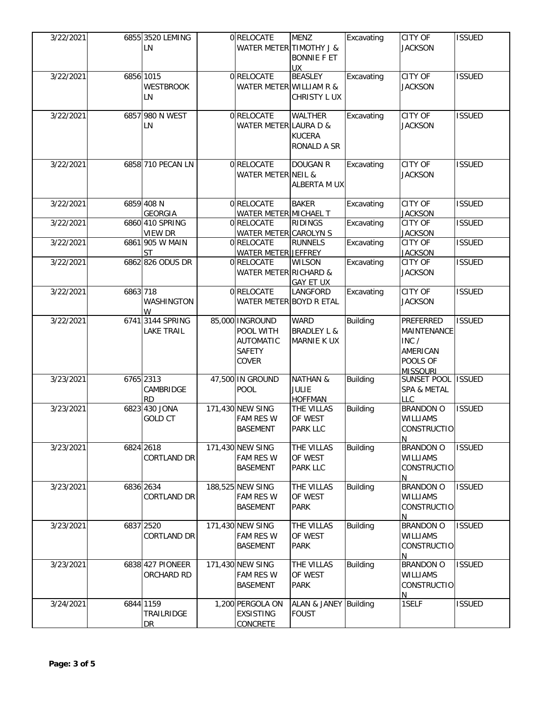| 3/22/2021 |          | 6855 3520 LEMING<br>LN                | 0 RELOCATE<br>WATER METER TIMOTHY J &                               | <b>MENZ</b><br><b>BONNIE F ET</b><br><b>UX</b>        | Excavating      | <b>CITY OF</b><br><b>JACKSON</b>                                                    | <b>ISSUED</b> |
|-----------|----------|---------------------------------------|---------------------------------------------------------------------|-------------------------------------------------------|-----------------|-------------------------------------------------------------------------------------|---------------|
| 3/22/2021 |          | 6856 1015<br><b>WESTBROOK</b><br>LN   | 0 RELOCATE<br>WATER METER WILLIAM R &                               | <b>BEASLEY</b><br>CHRISTY L UX                        | Excavating      | CITY OF<br><b>JACKSON</b>                                                           | <b>ISSUED</b> |
| 3/22/2021 |          | 6857 980 N WEST<br>LN                 | 0 RELOCATE<br>WATER METER LAURA D &                                 | <b>WALTHER</b><br><b>KUCERA</b><br>RONALD A SR        | Excavating      | <b>CITY OF</b><br><b>JACKSON</b>                                                    | <b>ISSUED</b> |
| 3/22/2021 |          | 6858 710 PECAN LN                     | 0 RELOCATE<br>WATER METER NEIL &                                    | <b>DOUGAN R</b><br>ALBERTA M UX                       | Excavating      | CITY OF<br><b>JACKSON</b>                                                           | <b>ISSUED</b> |
| 3/22/2021 |          | 6859 408 N<br><b>GEORGIA</b>          | 0 RELOCATE<br>WATER METER MICHAEL T                                 | <b>BAKER</b>                                          | Excavating      | <b>CITY OF</b><br><b>JACKSON</b>                                                    | <b>ISSUED</b> |
| 3/22/2021 |          | 6860 410 SPRING<br><b>VIEW DR</b>     | 0 RELOCATE<br>WATER METER CAROLYN S                                 | <b>RIDINGS</b>                                        | Excavating      | <b>CITY OF</b><br><b>JACKSON</b>                                                    | <b>ISSUED</b> |
| 3/22/2021 |          | 6861 905 W MAIN<br><b>ST</b>          | 0 RELOCATE<br>WATER METER JEFFREY                                   | <b>RUNNELS</b>                                        | Excavating      | <b>CITY OF</b><br><b>JACKSON</b>                                                    | <b>ISSUED</b> |
| 3/22/2021 |          | 6862 826 ODUS DR                      | 0 RELOCATE<br>WATER METER RICHARD &                                 | <b>WILSON</b><br><b>GAY ET UX</b>                     | Excavating      | <b>CITY OF</b><br><b>JACKSON</b>                                                    | <b>ISSUED</b> |
| 3/22/2021 | 6863 718 | WASHINGTON<br>W                       | 0 RELOCATE<br>WATER METER BOYD R ETAL                               | LANGFORD                                              | Excavating      | <b>CITY OF</b><br><b>JACKSON</b>                                                    | <b>ISSUED</b> |
| 3/22/2021 |          | 6741 3144 SPRING<br><b>LAKE TRAIL</b> | 85,000 INGROUND<br>POOL WITH<br><b>AUTOMATIC</b><br>SAFETY<br>COVER | <b>WARD</b><br><b>BRADLEY L &amp;</b><br>MARNIE K UX  | <b>Building</b> | <b>PREFERRED</b><br>MAINTENANCE<br>INC /<br>AMERICAN<br>POOLS OF<br><b>MISSOURI</b> | <b>ISSUED</b> |
| 3/23/2021 |          | 6765 2313<br>CAMBRIDGE<br><b>RD</b>   | 47,500 IN GROUND<br><b>POOL</b>                                     | <b>NATHAN &amp;</b><br><b>JULIE</b><br><b>HOFFMAN</b> | <b>Building</b> | SUNSET POOL ISSUED<br>SPA & METAL<br><b>LLC</b>                                     |               |
| 3/23/2021 |          | 6823 430 JONA<br><b>GOLD CT</b>       | 171,430 NEW SING<br><b>FAM RES W</b><br><b>BASEMENT</b>             | THE VILLAS<br>OF WEST<br><b>PARK LLC</b>              | <b>Building</b> | <b>BRANDON O</b><br>WILLIAMS<br><b>CONSTRUCTIO</b><br>N                             | <b>ISSUED</b> |
| 3/23/2021 |          | 6824 2618<br><b>CORTLAND DR</b>       | 171,430 NEW SING<br><b>FAM RES W</b><br><b>BASEMENT</b>             | THE VILLAS<br>OF WEST<br>PARK LLC                     | <b>Building</b> | <b>BRANDON O</b><br>WILLIAMS<br>CONSTRUCTIO<br>N                                    | <b>ISSUED</b> |
| 3/23/2021 |          | 6836 2634<br><b>CORTLAND DR</b>       | 188,525 NEW SING<br><b>FAM RES W</b><br><b>BASEMENT</b>             | THE VILLAS<br>OF WEST<br><b>PARK</b>                  | <b>Building</b> | <b>BRANDON O</b><br><b>WILLIAMS</b><br>CONSTRUCTIO<br>N                             | <b>ISSUED</b> |
| 3/23/2021 |          | 6837 2520<br>CORTLAND DR              | 171,430 NEW SING<br>FAM RES W<br><b>BASEMENT</b>                    | THE VILLAS<br>OF WEST<br><b>PARK</b>                  | <b>Building</b> | <b>BRANDON O</b><br>WILLIAMS<br>CONSTRUCTIO<br>N                                    | <b>ISSUED</b> |
| 3/23/2021 |          | 6838 427 PIONEER<br>ORCHARD RD        | 171,430 NEW SING<br><b>FAM RES W</b><br><b>BASEMENT</b>             | THE VILLAS<br>OF WEST<br><b>PARK</b>                  | <b>Building</b> | <b>BRANDON O</b><br>WILLIAMS<br><b>CONSTRUCTIO</b><br>N                             | <b>ISSUED</b> |
| 3/24/2021 |          | 6844 1159<br>TRAILRIDGE<br>DR         | 1,200 PERGOLA ON<br><b>EXSISTING</b><br><b>CONCRETE</b>             | ALAN & JANEY Building<br><b>FOUST</b>                 |                 | 1SELF                                                                               | <b>ISSUED</b> |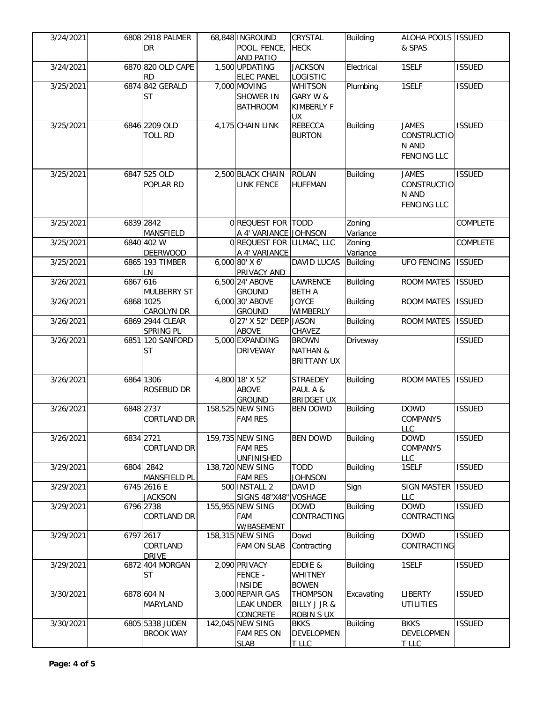| 3/24/2021 |          | 6808 2918 PALMER<br>DR                          | 68,848 INGROUND<br>POOL, FENCE,<br>AND PATIO            | <b>CRYSTAL</b><br><b>HECK</b>                             | <b>Building</b>    | ALOHA POOLS ISSUED<br>& SPAS                                      |                 |
|-----------|----------|-------------------------------------------------|---------------------------------------------------------|-----------------------------------------------------------|--------------------|-------------------------------------------------------------------|-----------------|
| 3/24/2021 |          | 6870 820 OLD CAPE<br><b>RD</b>                  | 1,500 UPDATING<br><b>ELEC PANEL</b>                     | <b>JACKSON</b><br>LOGISTIC                                | Electrical         | 1SELF                                                             | <b>ISSUED</b>   |
| 3/25/2021 |          | 6874 842 GERALD<br><b>ST</b>                    | 7,000 MOVING<br><b>SHOWER IN</b><br><b>BATHROOM</b>     | WHITSON<br>GARY W &<br><b>KIMBERLY F</b><br><b>UX</b>     | Plumbing           | 1SELF                                                             | <b>ISSUED</b>   |
| 3/25/2021 |          | 6846 2209 OLD<br><b>TOLL RD</b>                 | 4,175 CHAIN LINK                                        | <b>REBECCA</b><br><b>BURTON</b>                           | <b>Building</b>    | <b>JAMES</b><br>CONSTRUCTIO<br>N AND<br><b>FENCING LLC</b>        | <b>ISSUED</b>   |
| 3/25/2021 |          | 6847 525 OLD<br>POPLAR RD                       | 2,500 BLACK CHAIN<br><b>LINK FENCE</b>                  | <b>ROLAN</b><br><b>HUFFMAN</b>                            | <b>Building</b>    | <b>JAMES</b><br><b>CONSTRUCTIO</b><br>N AND<br><b>FENCING LLC</b> | <b>ISSUED</b>   |
| 3/25/2021 |          | 6839 2842<br>MANSFIELD                          | 0 REQUEST FOR TODD<br>A 4' VARIANCE JOHNSON             |                                                           | Zoning<br>Variance |                                                                   | COMPLETE        |
| 3/25/2021 |          | 6840 402 W                                      | 0 REQUEST FOR LILMAC, LLC                               |                                                           | Zoning<br>Variance |                                                                   | <b>COMPLETE</b> |
| 3/25/2021 |          | <b>DEERWOOD</b><br>6865 193 TIMBER<br><b>LN</b> | A 4' VARIANCE<br>6,000 80' X 6'<br><b>PRIVACY AND</b>   | <b>DAVID LUCAS</b>                                        | <b>Building</b>    | <b>UFO FENCING</b>                                                | <b>ISSUED</b>   |
| 3/26/2021 | 6867 616 | <b>MULBERRY ST</b>                              | 6,500 24' ABOVE<br><b>GROUND</b>                        | LAWRENCE<br><b>BETH A</b>                                 | <b>Building</b>    | <b>ROOM MATES</b>                                                 | <b>ISSUED</b>   |
| 3/26/2021 |          | 6868 1025<br>CAROLYN DR                         | 6,000 30' ABOVE<br><b>GROUND</b>                        | <b>JOYCE</b><br><b>WIMBERLY</b>                           | <b>Building</b>    | <b>ROOM MATES</b>                                                 | <b>ISSUED</b>   |
| 3/26/2021 |          | 6869 2944 CLEAR<br><b>SPRING PL</b>             | 0 27' X 52" DEEP JASON<br><b>ABOVE</b>                  | CHAVEZ                                                    | <b>Building</b>    | <b>ROOM MATES</b>                                                 | <b>ISSUED</b>   |
| 3/26/2021 |          | 6851 120 SANFORD<br><b>ST</b>                   | 5,000 EXPANDING<br><b>DRIVEWAY</b>                      | <b>BROWN</b><br><b>NATHAN &amp;</b><br><b>BRITTANY UX</b> | Driveway           |                                                                   | <b>ISSUED</b>   |
| 3/26/2021 |          | 6864 1306<br>ROSEBUD DR                         | 4,800 18' X 52'<br><b>ABOVE</b><br><b>GROUND</b>        | <b>STRAEDEY</b><br>PAUL A &<br><b>BRIDGET UX</b>          | <b>Building</b>    | <b>ROOM MATES</b>                                                 | <b>ISSUED</b>   |
| 3/26/2021 |          | 6848 2737<br><b>CORTLAND DR</b>                 | 158,525 NEW SING<br><b>FAM RES</b>                      | <b>BEN DOWD</b>                                           | <b>Building</b>    | <b>DOWD</b><br><b>COMPANYS</b><br><b>LLC</b>                      | <b>ISSUED</b>   |
| 3/26/2021 |          | 6834 2721<br><b>CORTLAND DR</b>                 | 159,735 NEW SING<br><b>FAM RES</b><br><b>UNFINISHED</b> | <b>BEN DOWD</b>                                           | <b>Building</b>    | <b>DOWD</b><br>COMPANYS<br>LLC                                    | <b>ISSUED</b>   |
| 3/29/2021 |          | 6804 2842<br>MANSFIELD PL                       | 138,720 NEW SING<br><b>FAM RES</b>                      | <b>TODD</b><br><b>JOHNSON</b>                             | Building           | 1SELF                                                             | <b>ISSUED</b>   |
| 3/29/2021 |          | 6745 2616 E<br><b>JACKSON</b>                   | 500 INSTALL 2<br><b>SIGNS 48"X48"</b>                   | <b>DAVID</b><br><b>VOSHAGE</b>                            | Sign               | <b>SIGN MASTER</b><br>LLC                                         | <b>ISSUED</b>   |
| 3/29/2021 |          | 6796 2738<br>CORTLAND DR                        | 155,955 NEW SING<br><b>FAM</b><br>W/BASEMENT            | <b>DOWD</b><br>CONTRACTING                                | <b>Building</b>    | <b>DOWD</b><br>CONTRACTING                                        | <b>ISSUED</b>   |
| 3/29/2021 |          | 6797 2617<br>CORTLAND<br><b>DRIVE</b>           | 158,315 NEW SING<br><b>FAM ON SLAB</b>                  | Dowd<br>Contracting                                       | <b>Building</b>    | <b>DOWD</b><br>CONTRACTING                                        | <b>ISSUED</b>   |
| 3/29/2021 |          | 6872 404 MORGAN<br><b>ST</b>                    | 2,090 PRIVACY<br><b>FENCE -</b><br><b>INSIDE</b>        | EDDIE &<br><b>WHITNEY</b><br><b>BOWEN</b>                 | <b>Building</b>    | 1SELF                                                             | <b>ISSUED</b>   |
| 3/30/2021 |          | 6878 604 N<br>MARYLAND                          | 3,000 REPAIR GAS<br><b>LEAK UNDER</b><br>CONCRETE       | THOMPSON<br><b>BILLY J JR &amp;</b><br><b>ROBIN S UX</b>  | Excavating         | LIBERTY<br><b>UTILITIES</b>                                       | <b>ISSUED</b>   |
| 3/30/2021 |          | 6805 5338 JUDEN<br><b>BROOK WAY</b>             | 142,045 NEW SING<br><b>FAM RES ON</b><br><b>SLAB</b>    | <b>BKKS</b><br><b>DEVELOPMEN</b><br>T LLC                 | <b>Building</b>    | <b>BKKS</b><br><b>DEVELOPMEN</b><br>T LLC                         | <b>ISSUED</b>   |